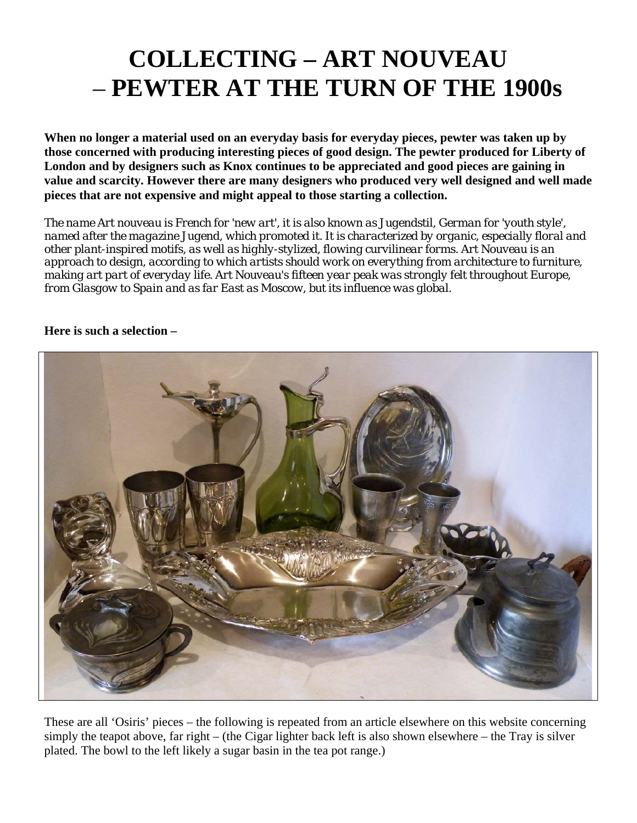## **COLLECTING – ART NOUVEAU**  – **PEWTER AT THE TURN OF THE 1900s**

**When no longer a material used on an everyday basis for everyday pieces, pewter was taken up by those concerned with producing interesting pieces of good design. The pewter produced for Liberty of London and by designers such as Knox continues to be appreciated and good pieces are gaining in value and scarcity. However there are many designers who produced very well designed and well made pieces that are not expensive and might appeal to those starting a collection.** 

*The name Art nouveau is French for 'new art', it is also known as Jugendstil, German for 'youth style', named after the magazine Jugend, which promoted it. It is characterized by organic, especially floral and other plant-inspired motifs, as well as highly-stylized, flowing curvilinear forms. Art Nouveau is an approach to design, according to which artists should work on everything from architecture to furniture, making art part of everyday life. Art Nouveau's fifteen year peak was strongly felt throughout Europe, from Glasgow to Spain and as far East as Moscow, but its influence was global.* 

#### **Here is such a selection –**



These are all 'Osiris' pieces – the following is repeated from an article elsewhere on this website concerning simply the teapot above, far right – (the Cigar lighter back left is also shown elsewhere – the Tray is silver plated. The bowl to the left likely a sugar basin in the tea pot range.)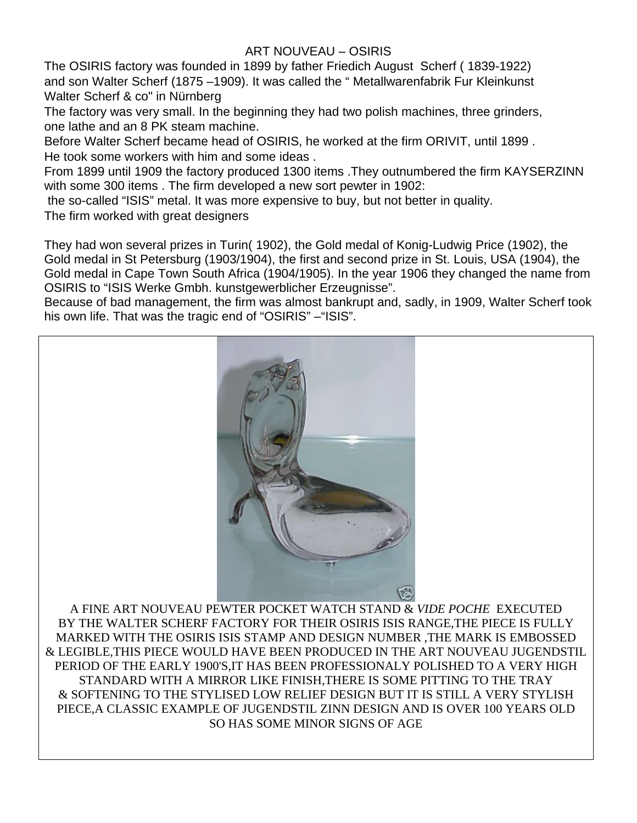### ART NOUVEAU – OSIRIS

The OSIRIS factory was founded in 1899 by father Friedich August Scherf ( 1839-1922) and son Walter Scherf (1875 –1909). It was called the " Metallwarenfabrik Fur Kleinkunst Walter Scherf & co" in Nürnberg

The factory was very small. In the beginning they had two polish machines, three grinders, one lathe and an 8 PK steam machine.

Before Walter Scherf became head of OSIRIS, he worked at the firm ORIVIT, until 1899 . He took some workers with him and some ideas .

From 1899 until 1909 the factory produced 1300 items .They outnumbered the firm KAYSERZINN with some 300 items . The firm developed a new sort pewter in 1902:

the so-called "ISIS" metal. It was more expensive to buy, but not better in quality.

The firm worked with great designers

They had won several prizes in Turin( 1902), the Gold medal of Konig-Ludwig Price (1902), the Gold medal in St Petersburg (1903/1904), the first and second prize in St. Louis, USA (1904), the Gold medal in Cape Town South Africa (1904/1905). In the year 1906 they changed the name from OSIRIS to "ISIS Werke Gmbh. kunstgewerblicher Erzeugnisse".

Because of bad management, the firm was almost bankrupt and, sadly, in 1909, Walter Scherf took his own life. That was the tragic end of "OSIRIS" – "ISIS".



A FINE ART NOUVEAU PEWTER POCKET WATCH STAND & *VIDE POCHE* EXECUTED BY THE WALTER SCHERF FACTORY FOR THEIR OSIRIS ISIS RANGE,THE PIECE IS FULLY MARKED WITH THE OSIRIS ISIS STAMP AND DESIGN NUMBER ,THE MARK IS EMBOSSED & LEGIBLE,THIS PIECE WOULD HAVE BEEN PRODUCED IN THE ART NOUVEAU JUGENDSTIL PERIOD OF THE EARLY 1900'S,IT HAS BEEN PROFESSIONALY POLISHED TO A VERY HIGH STANDARD WITH A MIRROR LIKE FINISH,THERE IS SOME PITTING TO THE TRAY & SOFTENING TO THE STYLISED LOW RELIEF DESIGN BUT IT IS STILL A VERY STYLISH PIECE,A CLASSIC EXAMPLE OF JUGENDSTIL ZINN DESIGN AND IS OVER 100 YEARS OLD SO HAS SOME MINOR SIGNS OF AGE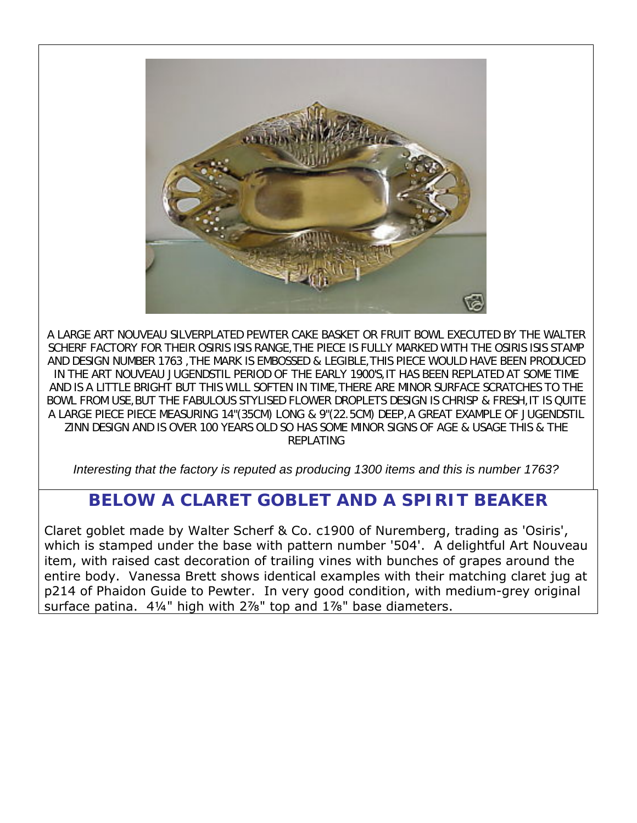

A LARGE ART NOUVEAU SILVERPLATED PEWTER CAKE BASKET OR FRUIT BOWL EXECUTED BY THE WALTER SCHERF FACTORY FOR THEIR OSIRIS ISIS RANGE,THE PIECE IS FULLY MARKED WITH THE OSIRIS ISIS STAMP AND DESIGN NUMBER 1763 ,THE MARK IS EMBOSSED & LEGIBLE,THIS PIECE WOULD HAVE BEEN PRODUCED IN THE ART NOUVEAU JUGENDSTIL PERIOD OF THE EARLY 1900'S,IT HAS BEEN REPLATED AT SOME TIME AND IS A LITTLE BRIGHT BUT THIS WILL SOFTEN IN TIME,THERE ARE MINOR SURFACE SCRATCHES TO THE BOWL FROM USE,BUT THE FABULOUS STYLISED FLOWER DROPLETS DESIGN IS CHRISP & FRESH,IT IS QUITE A LARGE PIECE PIECE MEASURING 14"(35CM) LONG & 9"(22.5CM) DEEP,A GREAT EXAMPLE OF JUGENDSTIL ZINN DESIGN AND IS OVER 100 YEARS OLD SO HAS SOME MINOR SIGNS OF AGE & USAGE THIS & THE REPLATING

*Interesting that the factory is reputed as producing 1300 items and this is number 1763?* 

## **BELOW A CLARET GOBLET AND A SPIRIT BEAKER**

Claret goblet made by Walter Scherf & Co. c1900 of Nuremberg, trading as 'Osiris', which is stamped under the base with pattern number '504'. A delightful Art Nouveau item, with raised cast decoration of trailing vines with bunches of grapes around the entire body. Vanessa Brett shows identical examples with their matching claret jug at p214 of *Phaidon Guide to Pewter*. In very good condition, with medium-grey original surface patina. 4¼" high with 2%" top and 1%" base diameters.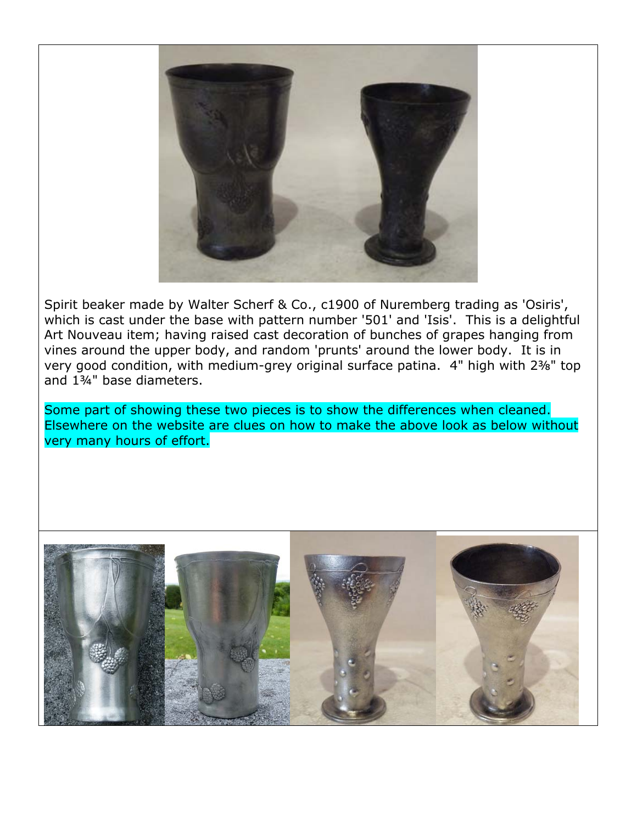

Spirit beaker made by Walter Scherf & Co., c1900 of Nuremberg trading as 'Osiris', which is cast under the base with pattern number '501' and 'Isis'. This is a delightful Art Nouveau item; having raised cast decoration of bunches of grapes hanging from vines around the upper body, and random 'prunts' around the lower body. It is in very good condition, with medium-grey original surface patina. 4" high with 2⅜" top and 1¾" base diameters.

Some part of showing these two pieces is to show the differences when cleaned. Elsewhere on the website are clues on how to make the above look as below without very many hours of effort.

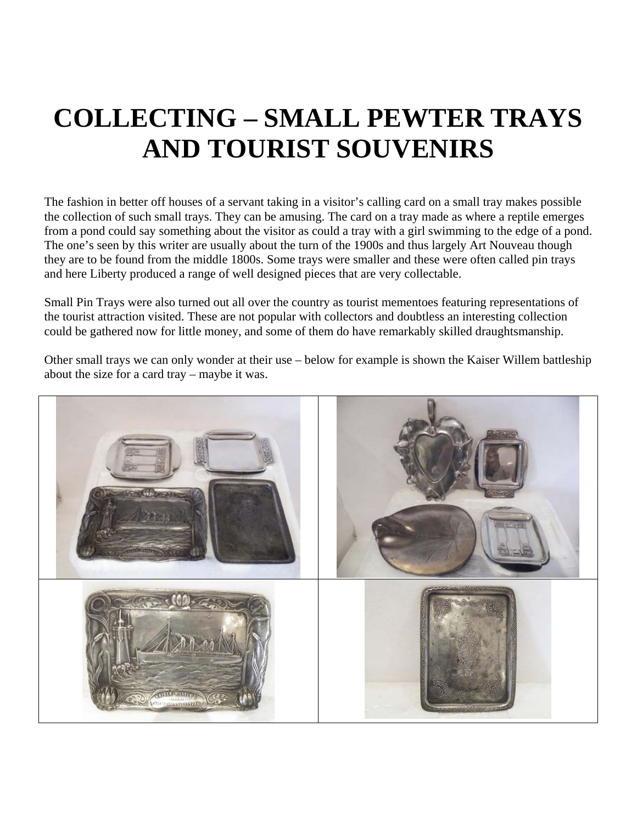# **COLLECTING – SMALL PEWTER TRAYS AND TOURIST SOUVENIRS**

The fashion in better off houses of a servant taking in a visitor's calling card on a small tray makes possible the collection of such small trays. They can be amusing. The card on a tray made as where a reptile emerges from a pond could say something about the visitor as could a tray with a girl swimming to the edge of a pond. The one's seen by this writer are usually about the turn of the 1900s and thus largely Art Nouveau though they are to be found from the middle 1800s. Some trays were smaller and these were often called pin trays and here Liberty produced a range of well designed pieces that are very collectable.

Small Pin Trays were also turned out all over the country as tourist mementoes featuring representations of the tourist attraction visited. These are not popular with collectors and doubtless an interesting collection could be gathered now for little money, and some of them do have remarkably skilled draughtsmanship.

Other small trays we can only wonder at their use – below for example is shown the Kaiser Willem battleship about the size for a card tray – maybe it was.

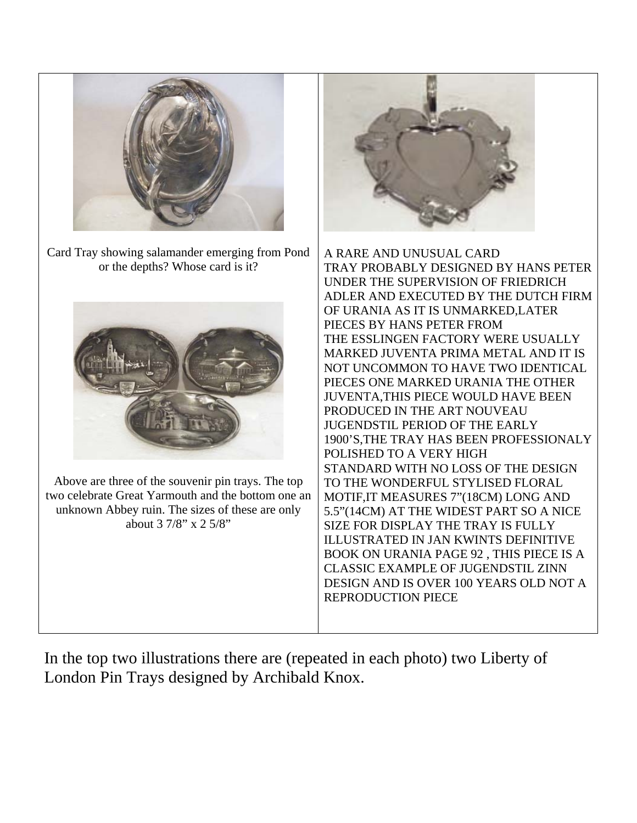

Card Tray showing salamander emerging from Pond or the depths? Whose card is it?



Above are three of the souvenir pin trays. The top two celebrate Great Yarmouth and the bottom one an unknown Abbey ruin. The sizes of these are only about 3 7/8" x 2 5/8"



A RARE AND UNUSUAL CARD TRAY PROBABLY DESIGNED BY HANS PETER UNDER THE SUPERVISION OF FRIEDRICH ADLER AND EXECUTED BY THE DUTCH FIRM OF URANIA AS IT IS UNMARKED,LATER PIECES BY HANS PETER FROM THE ESSLINGEN FACTORY WERE USUALLY MARKED JUVENTA PRIMA METAL AND IT IS NOT UNCOMMON TO HAVE TWO IDENTICAL PIECES ONE MARKED URANIA THE OTHER JUVENTA,THIS PIECE WOULD HAVE BEEN PRODUCED IN THE ART NOUVEAU JUGENDSTIL PERIOD OF THE EARLY 1900'S,THE TRAY HAS BEEN PROFESSIONALY POLISHED TO A VERY HIGH STANDARD WITH NO LOSS OF THE DESIGN TO THE WONDERFUL STYLISED FLORAL MOTIF,IT MEASURES 7"(18CM) LONG AND 5.5"(14CM) AT THE WIDEST PART SO A NICE SIZE FOR DISPLAY THE TRAY IS FULLY ILLUSTRATED IN JAN KWINTS DEFINITIVE BOOK ON URANIA PAGE 92 , THIS PIECE IS A CLASSIC EXAMPLE OF JUGENDSTIL ZINN DESIGN AND IS OVER 100 YEARS OLD NOT A REPRODUCTION PIECE

In the top two illustrations there are (repeated in each photo) two Liberty of London Pin Trays designed by Archibald Knox.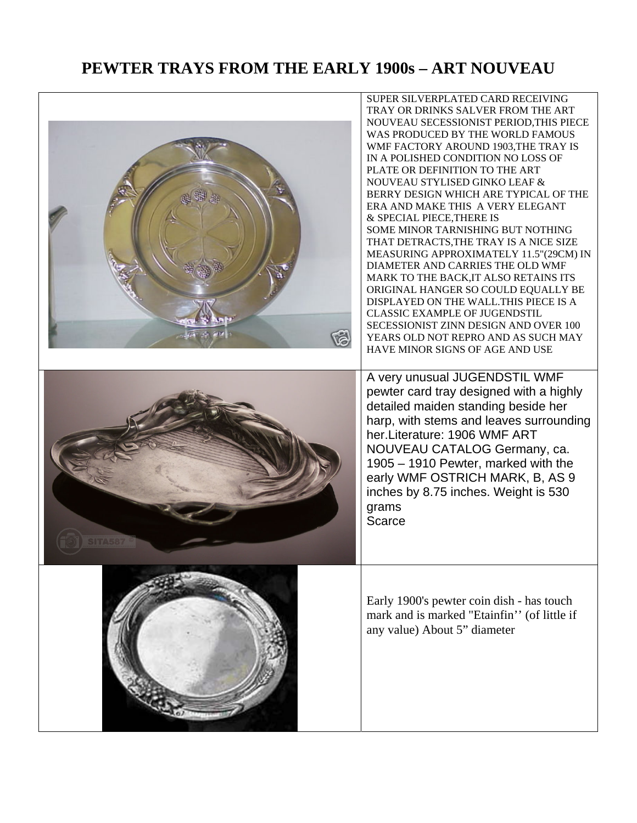### **PEWTER TRAYS FROM THE EARLY 1900s – ART NOUVEAU**